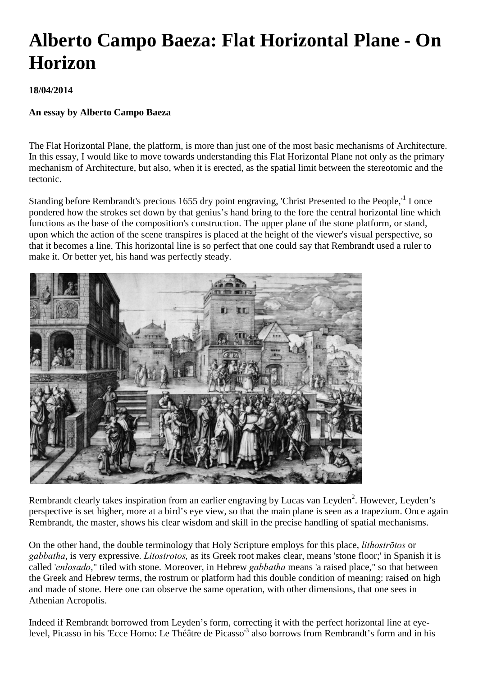# **Alberto Campo Baeza: Flat Horizontal Plane - On Horizon**

## **18/04/2014**

### **An essay by Alberto Campo Baeza**

The Flat Horizontal Plane, the platform, is more than just one of the most basic mechanisms of Architecture. In this essay, I would like to move towards understanding this Flat Horizontal Plane not only as the primary mechanism of Architecture, but also, when it is erected, as the spatial limit between the stereotomic and the tectonic.

Standing before Rembrandt's precious 1655 dry point engraving, 'Christ Presented to the People,'<sup>1</sup> I once pondered how the strokes set down by that genius's hand bring to the fore the central horizontal line which functions as the base of the composition's construction. The upper plane of the stone platform, or stand, upon which the action of the scene transpires is placed at the height of the viewer's visual perspective, so that it becomes a line. This horizontal line is so perfect that one could say that Rembrandt used a ruler to make it. Or better yet, his hand was perfectly steady.



Rembrandt clearly takes inspiration from an earlier engraving by Lucas van Leyden<sup>2</sup>. However, Leyden's perspective is set higher, more at a bird's eye view, so that the main plane is seen as a trapezium. Once again Rembrandt, the master, shows his clear wisdom and skill in the precise handling of spatial mechanisms.

On the other hand, the double terminology that Holy Scripture employs for this place, *lithostrōtos* or *gabbatha*, is very expressive. *Litostrotos,* as its Greek root makes clear, means 'stone floor;' in Spanish it is called '*enlosado*," tiled with stone. Moreover, in Hebrew *gabbatha* means 'a raised place," so that between the Greek and Hebrew terms, the rostrum or platform had this double condition of meaning: raised on high and made of stone. Here one can observe the same operation, with other dimensions, that one sees in Athenian Acropolis.

Indeed if Rembrandt borrowed from Leyden's form, correcting it with the perfect horizontal line at eyelevel, Picasso in his 'Ecce Homo: Le Théâtre de Picasso<sup>3</sup> also borrows from Rembrandt's form and in his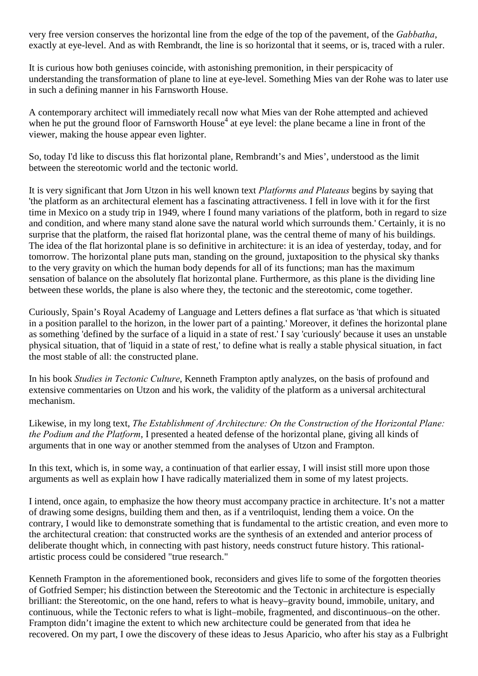very free version conserves the horizontal line from the edge of the top of the pavement, of the *Gabbatha*, exactly at eye-level. And as with Rembrandt, the line is so horizontal that it seems, or is, traced with a ruler.

It is curious how both geniuses coincide, with astonishing premonition, in their perspicacity of understanding the transformation of plane to line at eye-level. Something Mies van der Rohe was to later use in such a defining manner in his Farnsworth House.

A contemporary architect will immediately recall now what Mies van der Rohe attempted and achieved when he put the ground floor of Farnsworth House<sup>4</sup> at eye level: the plane became a line in front of the viewer, making the house appear even lighter.

So, today I'd like to discuss this flat horizontal plane, Rembrandt's and Mies', understood as the limit between the stereotomic world and the tectonic world.

It is very significant that Jorn Utzon in his well known text *Platforms and Plateaus* begins by saying that 'the platform as an architectural element has a fascinating attractiveness. I fell in love with it for the first time in Mexico on a study trip in 1949, where I found many variations of the platform, both in regard to size and condition, and where many stand alone save the natural world which surrounds them.' Certainly, it is no surprise that the platform, the raised flat horizontal plane, was the central theme of many of his buildings. The idea of the flat horizontal plane is so definitive in architecture: it is an idea of yesterday, today, and for tomorrow. The horizontal plane puts man, standing on the ground, juxtaposition to the physical sky thanks to the very gravity on which the human body depends for all of its functions; man has the maximum sensation of balance on the absolutely flat horizontal plane. Furthermore, as this plane is the dividing line between these worlds, the plane is also where they, the tectonic and the stereotomic, come together.

Curiously, Spain's Royal Academy of Language and Letters defines a flat surface as 'that which is situated in a position parallel to the horizon, in the lower part of a painting.' Moreover, it defines the horizontal plane as something 'defined by the surface of a liquid in a state of rest.' I say 'curiously' because it uses an unstable physical situation, that of 'liquid in a state of rest,' to define what is really a stable physical situation, in fact the most stable of all: the constructed plane.

In his book *Studies in Tectonic Culture*, Kenneth Frampton aptly analyzes, on the basis of profound and extensive commentaries on Utzon and his work, the validity of the platform as a universal architectural mechanism.

Likewise, in my long text, *The Establishment of Architecture: On the Construction of the Horizontal Plane: the Podium and the Platform*, I presented a heated defense of the horizontal plane, giving all kinds of arguments that in one way or another stemmed from the analyses of Utzon and Frampton.

In this text, which is, in some way, a continuation of that earlier essay, I will insist still more upon those arguments as well as explain how I have radically materialized them in some of my latest projects.

I intend, once again, to emphasize the how theory must accompany practice in architecture. It's not a matter of drawing some designs, building them and then, as if a ventriloquist, lending them a voice. On the contrary, I would like to demonstrate something that is fundamental to the artistic creation, and even more to the architectural creation: that constructed works are the synthesis of an extended and anterior process of deliberate thought which, in connecting with past history, needs construct future history. This rationalartistic process could be considered "true research."

Kenneth Frampton in the aforementioned book, reconsiders and gives life to some of the forgotten theories of Gotfried Semper; his distinction between the Stereotomic and the Tectonic in architecture is especially brilliant: the Stereotomic, on the one hand, refers to what is heavy–gravity bound, immobile, unitary, and continuous, while the Tectonic refers to what is light–mobile, fragmented, and discontinuous–on the other. Frampton didn't imagine the extent to which new architecture could be generated from that idea he recovered. On my part, I owe the discovery of these ideas to Jesus Aparicio, who after his stay as a Fulbright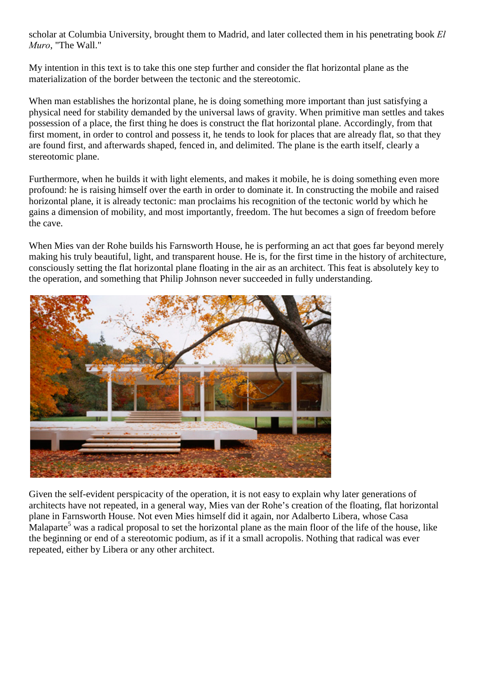scholar at Columbia University, brought them to Madrid, and later collected them in his penetrating book *El Muro*, "The Wall."

My intention in this text is to take this one step further and consider the flat horizontal plane as the materialization of the border between the tectonic and the stereotomic.

When man establishes the horizontal plane, he is doing something more important than just satisfying a physical need for stability demanded by the universal laws of gravity. When primitive man settles and takes possession of a place, the first thing he does is construct the flat horizontal plane. Accordingly, from that first moment, in order to control and possess it, he tends to look for places that are already flat, so that they are found first, and afterwards shaped, fenced in, and delimited. The plane is the earth itself, clearly a stereotomic plane.

Furthermore, when he builds it with light elements, and makes it mobile, he is doing something even more profound: he is raising himself over the earth in order to dominate it. In constructing the mobile and raised horizontal plane, it is already tectonic: man proclaims his recognition of the tectonic world by which he gains a dimension of mobility, and most importantly, freedom. The hut becomes a sign of freedom before the cave.

When Mies van der Rohe builds his Farnsworth House, he is performing an act that goes far beyond merely making his truly beautiful, light, and transparent house. He is, for the first time in the history of architecture, consciously setting the flat horizontal plane floating in the air as an architect. This feat is absolutely key to the operation, and something that Philip Johnson never succeeded in fully understanding.



Given the self-evident perspicacity of the operation, it is not easy to explain why later generations of architects have not repeated, in a general way, Mies van der Rohe's creation of the floating, flat horizontal plane in Farnsworth House. Not even Mies himself did it again, nor Adalberto Libera, whose Casa Malaparte<sup>5</sup> was a radical proposal to set the horizontal plane as the main floor of the life of the house, like the beginning or end of a stereotomic podium, as if it a small acropolis. Nothing that radical was ever repeated, either by Libera or any other architect.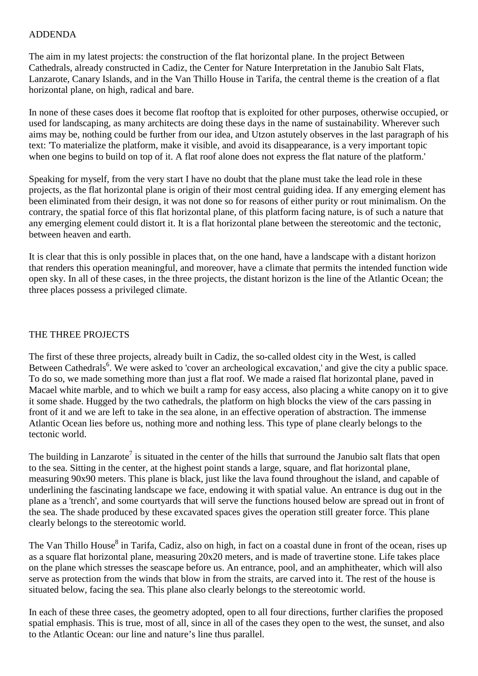#### ADDENDA

The aim in my latest projects: the construction of the flat horizontal plane. In the project Between Cathedrals, already constructed in Cadiz, the Center for Nature Interpretation in the Janubio Salt Flats, Lanzarote, Canary Islands, and in the Van Thillo House in Tarifa, the central theme is the creation of a flat horizontal plane, on high, radical and bare.

In none of these cases does it become flat rooftop that is exploited for other purposes, otherwise occupied, or used for landscaping, as many architects are doing these days in the name of sustainability. Wherever such aims may be, nothing could be further from our idea, and Utzon astutely observes in the last paragraph of his text: 'To materialize the platform, make it visible, and avoid its disappearance, is a very important topic when one begins to build on top of it. A flat roof alone does not express the flat nature of the platform.'

Speaking for myself, from the very start I have no doubt that the plane must take the lead role in these projects, as the flat horizontal plane is origin of their most central guiding idea. If any emerging element has been eliminated from their design, it was not done so for reasons of either purity or rout minimalism. On the contrary, the spatial force of this flat horizontal plane, of this platform facing nature, is of such a nature that any emerging element could distort it. It is a flat horizontal plane between the stereotomic and the tectonic, between heaven and earth.

It is clear that this is only possible in places that, on the one hand, have a landscape with a distant horizon that renders this operation meaningful, and moreover, have a climate that permits the intended function wide open sky. In all of these cases, in the three projects, the distant horizon is the line of the Atlantic Ocean; the three places possess a privileged climate.

#### THE THREE PROJECTS

The first of these three projects, already built in Cadiz, the so-called oldest city in the West, is called Between Cathedrals<sup>6</sup>. We were asked to 'cover an archeological excavation,' and give the city a public space. To do so, we made something more than just a flat roof. We made a raised flat horizontal plane, paved in Macael white marble, and to which we built a ramp for easy access, also placing a white canopy on it to give it some shade. Hugged by the two cathedrals, the platform on high blocks the view of the cars passing in front of it and we are left to take in the sea alone, in an effective operation of abstraction. The immense Atlantic Ocean lies before us, nothing more and nothing less. This type of plane clearly belongs to the tectonic world.

The building in Lanzarote<sup>7</sup> is situated in the center of the hills that surround the Janubio salt flats that open to the sea. Sitting in the center, at the highest point stands a large, square, and flat horizontal plane, measuring 90x90 meters. This plane is black, just like the lava found throughout the island, and capable of underlining the fascinating landscape we face, endowing it with spatial value. An entrance is dug out in the plane as a 'trench', and some courtyards that will serve the functions housed below are spread out in front of the sea. The shade produced by these excavated spaces gives the operation still greater force. This plane clearly belongs to the stereotomic world.

The Van Thillo House<sup>8</sup> in Tarifa, Cadiz, also on high, in fact on a coastal dune in front of the ocean, rises up as a square flat horizontal plane, measuring 20x20 meters, and is made of travertine stone. Life takes place on the plane which stresses the seascape before us. An entrance, pool, and an amphitheater, which will also serve as protection from the winds that blow in from the straits, are carved into it. The rest of the house is situated below, facing the sea. This plane also clearly belongs to the stereotomic world.

In each of these three cases, the geometry adopted, open to all four directions, further clarifies the proposed spatial emphasis. This is true, most of all, since in all of the cases they open to the west, the sunset, and also to the Atlantic Ocean: our line and nature's line thus parallel.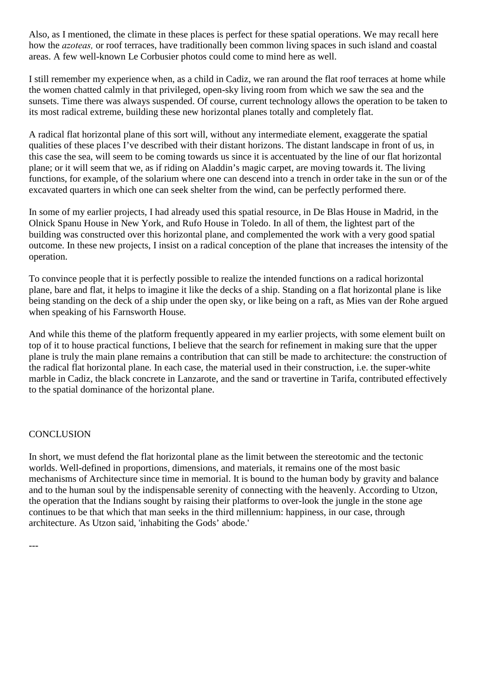Also, as I mentioned, the climate in these places is perfect for these spatial operations. We may recall here how the *azoteas,* or roof terraces, have traditionally been common living spaces in such island and coastal areas. A few well-known Le Corbusier photos could come to mind here as well.

I still remember my experience when, as a child in Cadiz, we ran around the flat roof terraces at home while the women chatted calmly in that privileged, open-sky living room from which we saw the sea and the sunsets. Time there was always suspended. Of course, current technology allows the operation to be taken to its most radical extreme, building these new horizontal planes totally and completely flat.

A radical flat horizontal plane of this sort will, without any intermediate element, exaggerate the spatial qualities of these places I've described with their distant horizons. The distant landscape in front of us, in this case the sea, will seem to be coming towards us since it is accentuated by the line of our flat horizontal plane; or it will seem that we, as if riding on Aladdin's magic carpet, are moving towards it. The living functions, for example, of the solarium where one can descend into a trench in order take in the sun or of the excavated quarters in which one can seek shelter from the wind, can be perfectly performed there.

In some of my earlier projects, I had already used this spatial resource, in De Blas House in Madrid, in the Olnick Spanu House in New York, and Rufo House in Toledo. In all of them, the lightest part of the building was constructed over this horizontal plane, and complemented the work with a very good spatial outcome. In these new projects, I insist on a radical conception of the plane that increases the intensity of the operation.

To convince people that it is perfectly possible to realize the intended functions on a radical horizontal plane, bare and flat, it helps to imagine it like the decks of a ship. Standing on a flat horizontal plane is like being standing on the deck of a ship under the open sky, or like being on a raft, as Mies van der Rohe argued when speaking of his Farnsworth House.

And while this theme of the platform frequently appeared in my earlier projects, with some element built on top of it to house practical functions, I believe that the search for refinement in making sure that the upper plane is truly the main plane remains a contribution that can still be made to architecture: the construction of the radical flat horizontal plane. In each case, the material used in their construction, i.e. the super-white marble in Cadiz, the black concrete in Lanzarote, and the sand or travertine in Tarifa, contributed effectively to the spatial dominance of the horizontal plane.

#### **CONCLUSION**

---

In short, we must defend the flat horizontal plane as the limit between the stereotomic and the tectonic worlds. Well-defined in proportions, dimensions, and materials, it remains one of the most basic mechanisms of Architecture since time in memorial. It is bound to the human body by gravity and balance and to the human soul by the indispensable serenity of connecting with the heavenly. According to Utzon, the operation that the Indians sought by raising their platforms to over-look the jungle in the stone age continues to be that which that man seeks in the third millennium: happiness, in our case, through architecture. As Utzon said, 'inhabiting the Gods' abode.'